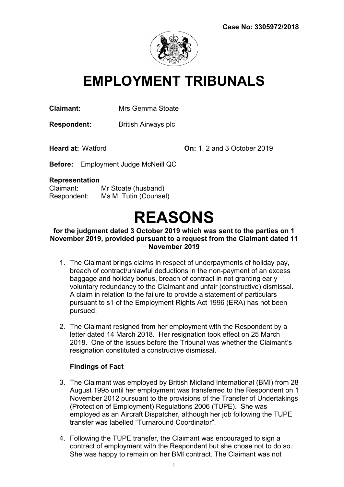

## EMPLOYMENT TRIBUNALS

Claimant: Mrs Gemma Stoate

Respondent: British Airways plc

Heard at: Watford On: 1, 2 and 3 October 2019

Before: Employment Judge McNeill QC

#### Representation

Claimant: Mr Stoate (husband) Respondent: Ms M. Tutin (Counsel)

# REASONS

#### for the judgment dated 3 October 2019 which was sent to the parties on 1 November 2019, provided pursuant to a request from the Claimant dated 11 November 2019

- 1. The Claimant brings claims in respect of underpayments of holiday pay, breach of contract/unlawful deductions in the non-payment of an excess baggage and holiday bonus, breach of contract in not granting early voluntary redundancy to the Claimant and unfair (constructive) dismissal. A claim in relation to the failure to provide a statement of particulars pursuant to s1 of the Employment Rights Act 1996 (ERA) has not been pursued.
- 2. The Claimant resigned from her employment with the Respondent by a letter dated 14 March 2018. Her resignation took effect on 25 March 2018. One of the issues before the Tribunal was whether the Claimant's resignation constituted a constructive dismissal.

#### Findings of Fact

- 3. The Claimant was employed by British Midland International (BMI) from 28 August 1995 until her employment was transferred to the Respondent on 1 November 2012 pursuant to the provisions of the Transfer of Undertakings (Protection of Employment) Regulations 2006 (TUPE). She was employed as an Aircraft Dispatcher, although her job following the TUPE transfer was labelled "Turnaround Coordinator".
- 4. Following the TUPE transfer, the Claimant was encouraged to sign a contract of employment with the Respondent but she chose not to do so. She was happy to remain on her BMI contract. The Claimant was not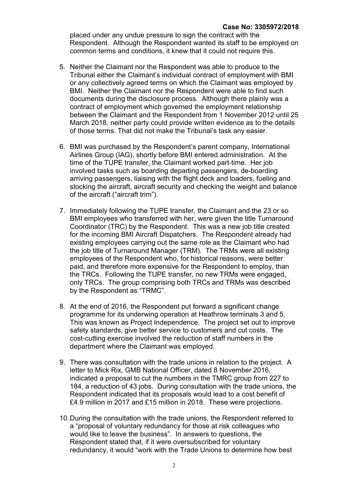placed under any undue pressure to sign the contract with the Respondent. Although the Respondent wanted its staff to be employed on common terms and conditions, it knew that it could not require this.

- 5. Neither the Claimant nor the Respondent was able to produce to the Tribunal either the Claimant's individual contract of employment with BMI or any collectively agreed terms on which the Claimant was employed by BMI. Neither the Claimant nor the Respondent were able to find such documents during the disclosure process. Although there plainly was a contract of employment which governed the employment relationship between the Claimant and the Respondent from 1 November 2012 until 25 March 2018, neither party could provide written evidence as to the details of those terms. That did not make the Tribunal's task any easier.
- 6. BMI was purchased by the Respondent's parent company, International Airlines Group (IAG), shortly before BMI entered administration. At the time of the TUPE transfer, the Claimant worked part-time. Her job involved tasks such as boarding departing passengers, de-boarding arriving passengers, liaising with the flight deck and loaders, fueling and stocking the aircraft, aircraft security and checking the weight and balance of the aircraft ("aircraft trim").
- 7. Immediately following the TUPE transfer, the Claimant and the 23 or so BMI employees who transferred with her, were given the title Turnaround Coordinator (TRC) by the Respondent. This was a new job title created for the incoming BMI Aircraft Dispatchers. The Respondent already had existing employees carrying out the same role as the Claimant who had the job title of Turnaround Manager (TRM). The TRMs were all existing employees of the Respondent who, for historical reasons, were better paid, and therefore more expensive for the Respondent to employ, than the TRCs. Following the TUPE transfer, no new TRMs were engaged, only TRCs. The group comprising both TRCs and TRMs was described by the Respondent as "TRMC".
- 8. At the end of 2016, the Respondent put forward a significant change programme for its underwing operation at Heathrow terminals 3 and 5. This was known as Project Independence. The project set out to improve safety standards, give better service to customers and cut costs. The cost-cutting exercise involved the reduction of staff numbers in the department where the Claimant was employed.
- 9. There was consultation with the trade unions in relation to the project. A letter to Mick Rix, GMB National Officer, dated 8 November 2016, indicated a proposal to cut the numbers in the TMRC group from 227 to 184, a reduction of 43 jobs. During consultation with the trade unions, the Respondent indicated that its proposals would lead to a cost benefit of £4.9 million in 2017 and £15 million in 2018. These were projections.
- 10. During the consultation with the trade unions, the Respondent referred to a "proposal of voluntary redundancy for those at risk colleagues who would like to leave the business". In answers to questions, the Respondent stated that, if it were oversubscribed for voluntary redundancy, it would "work with the Trade Unions to determine how best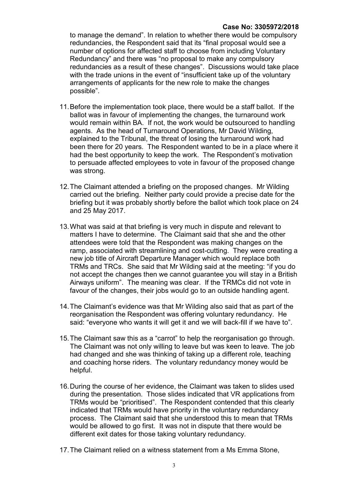#### Case No: 3305972/2018

to manage the demand". In relation to whether there would be compulsory redundancies, the Respondent said that its "final proposal would see a number of options for affected staff to choose from including Voluntary Redundancy" and there was "no proposal to make any compulsory redundancies as a result of these changes". Discussions would take place with the trade unions in the event of "insufficient take up of the voluntary arrangements of applicants for the new role to make the changes possible".

- 11. Before the implementation took place, there would be a staff ballot. If the ballot was in favour of implementing the changes, the turnaround work would remain within BA. If not, the work would be outsourced to handling agents. As the head of Turnaround Operations, Mr David Wilding, explained to the Tribunal, the threat of losing the turnaround work had been there for 20 years. The Respondent wanted to be in a place where it had the best opportunity to keep the work. The Respondent's motivation to persuade affected employees to vote in favour of the proposed change was strong.
- 12. The Claimant attended a briefing on the proposed changes. Mr Wilding carried out the briefing. Neither party could provide a precise date for the briefing but it was probably shortly before the ballot which took place on 24 and 25 May 2017.
- 13. What was said at that briefing is very much in dispute and relevant to matters I have to determine. The Claimant said that she and the other attendees were told that the Respondent was making changes on the ramp, associated with streamlining and cost-cutting. They were creating a new job title of Aircraft Departure Manager which would replace both TRMs and TRCs. She said that Mr Wilding said at the meeting: "if you do not accept the changes then we cannot guarantee you will stay in a British Airways uniform". The meaning was clear. If the TRMCs did not vote in favour of the changes, their jobs would go to an outside handling agent.
- 14. The Claimant's evidence was that Mr Wilding also said that as part of the reorganisation the Respondent was offering voluntary redundancy. He said: "everyone who wants it will get it and we will back-fill if we have to".
- 15. The Claimant saw this as a "carrot" to help the reorganisation go through. The Claimant was not only willing to leave but was keen to leave. The job had changed and she was thinking of taking up a different role, teaching and coaching horse riders. The voluntary redundancy money would be helpful.
- 16. During the course of her evidence, the Claimant was taken to slides used during the presentation. Those slides indicated that VR applications from TRMs would be "prioritised". The Respondent contended that this clearly indicated that TRMs would have priority in the voluntary redundancy process. The Claimant said that she understood this to mean that TRMs would be allowed to go first. It was not in dispute that there would be different exit dates for those taking voluntary redundancy.
- 17. The Claimant relied on a witness statement from a Ms Emma Stone,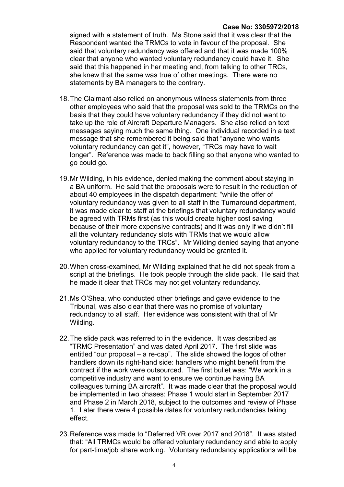#### Case No: 3305972/2018

signed with a statement of truth. Ms Stone said that it was clear that the Respondent wanted the TRMCs to vote in favour of the proposal. She said that voluntary redundancy was offered and that it was made 100% clear that anyone who wanted voluntary redundancy could have it. She said that this happened in her meeting and, from talking to other TRCs, she knew that the same was true of other meetings. There were no statements by BA managers to the contrary.

- 18. The Claimant also relied on anonymous witness statements from three other employees who said that the proposal was sold to the TRMCs on the basis that they could have voluntary redundancy if they did not want to take up the role of Aircraft Departure Managers. She also relied on text messages saying much the same thing. One individual recorded in a text message that she remembered it being said that "anyone who wants voluntary redundancy can get it", however, "TRCs may have to wait longer". Reference was made to back filling so that anyone who wanted to go could go.
- 19. Mr Wilding, in his evidence, denied making the comment about staying in a BA uniform. He said that the proposals were to result in the reduction of about 40 employees in the dispatch department: "while the offer of voluntary redundancy was given to all staff in the Turnaround department, it was made clear to staff at the briefings that voluntary redundancy would be agreed with TRMs first (as this would create higher cost saving because of their more expensive contracts) and it was only if we didn't fill all the voluntary redundancy slots with TRMs that we would allow voluntary redundancy to the TRCs". Mr Wilding denied saying that anyone who applied for voluntary redundancy would be granted it.
- 20. When cross-examined, Mr Wilding explained that he did not speak from a script at the briefings. He took people through the slide pack. He said that he made it clear that TRCs may not get voluntary redundancy.
- 21. Ms O'Shea, who conducted other briefings and gave evidence to the Tribunal, was also clear that there was no promise of voluntary redundancy to all staff. Her evidence was consistent with that of Mr Wilding.
- 22. The slide pack was referred to in the evidence. It was described as "TRMC Presentation" and was dated April 2017. The first slide was entitled "our proposal – a re-cap". The slide showed the logos of other handlers down its right-hand side: handlers who might benefit from the contract if the work were outsourced. The first bullet was: "We work in a competitive industry and want to ensure we continue having BA colleagues turning BA aircraft". It was made clear that the proposal would be implemented in two phases: Phase 1 would start in September 2017 and Phase 2 in March 2018, subject to the outcomes and review of Phase 1. Later there were 4 possible dates for voluntary redundancies taking effect.
- 23. Reference was made to "Deferred VR over 2017 and 2018". It was stated that: "All TRMCs would be offered voluntary redundancy and able to apply for part-time/job share working. Voluntary redundancy applications will be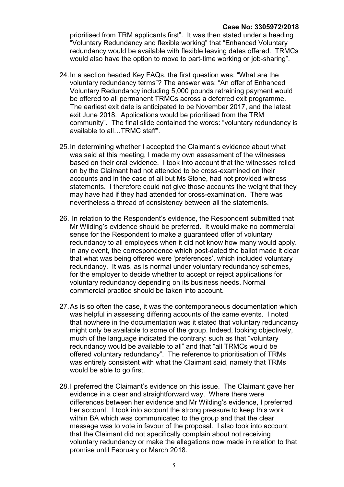#### Case No: 3305972/2018

prioritised from TRM applicants first". It was then stated under a heading "Voluntary Redundancy and flexible working" that "Enhanced Voluntary redundancy would be available with flexible leaving dates offered. TRMCs would also have the option to move to part-time working or job-sharing".

- 24. In a section headed Key FAQs, the first question was: "What are the voluntary redundancy terms"? The answer was: "An offer of Enhanced Voluntary Redundancy including 5,000 pounds retraining payment would be offered to all permanent TRMCs across a deferred exit programme. The earliest exit date is anticipated to be November 2017, and the latest exit June 2018. Applications would be prioritised from the TRM community". The final slide contained the words: "voluntary redundancy is available to all…TRMC staff".
- 25. In determining whether I accepted the Claimant's evidence about what was said at this meeting, I made my own assessment of the witnesses based on their oral evidence. I took into account that the witnesses relied on by the Claimant had not attended to be cross-examined on their accounts and in the case of all but Ms Stone, had not provided witness statements. I therefore could not give those accounts the weight that they may have had if they had attended for cross-examination. There was nevertheless a thread of consistency between all the statements.
- 26. In relation to the Respondent's evidence, the Respondent submitted that Mr Wilding's evidence should be preferred. It would make no commercial sense for the Respondent to make a guaranteed offer of voluntary redundancy to all employees when it did not know how many would apply. In any event, the correspondence which post-dated the ballot made it clear that what was being offered were 'preferences', which included voluntary redundancy. It was, as is normal under voluntary redundancy schemes, for the employer to decide whether to accept or reject applications for voluntary redundancy depending on its business needs. Normal commercial practice should be taken into account.
- 27. As is so often the case, it was the contemporaneous documentation which was helpful in assessing differing accounts of the same events. I noted that nowhere in the documentation was it stated that voluntary redundancy might only be available to some of the group. Indeed, looking objectively, much of the language indicated the contrary: such as that "voluntary redundancy would be available to all" and that "all TRMCs would be offered voluntary redundancy". The reference to prioritisation of TRMs was entirely consistent with what the Claimant said, namely that TRMs would be able to go first.
- 28. I preferred the Claimant's evidence on this issue. The Claimant gave her evidence in a clear and straightforward way. Where there were differences between her evidence and Mr Wilding's evidence, I preferred her account. I took into account the strong pressure to keep this work within BA which was communicated to the group and that the clear message was to vote in favour of the proposal. I also took into account that the Claimant did not specifically complain about not receiving voluntary redundancy or make the allegations now made in relation to that promise until February or March 2018.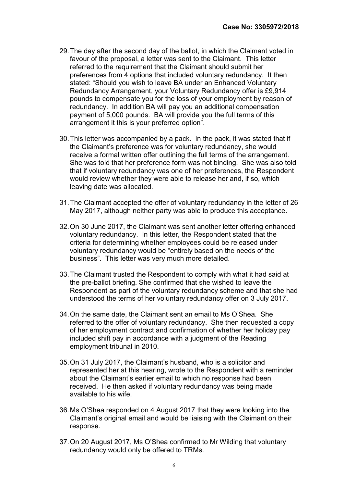- 29. The day after the second day of the ballot, in which the Claimant voted in favour of the proposal, a letter was sent to the Claimant. This letter referred to the requirement that the Claimant should submit her preferences from 4 options that included voluntary redundancy. It then stated: "Should you wish to leave BA under an Enhanced Voluntary Redundancy Arrangement, your Voluntary Redundancy offer is £9,914 pounds to compensate you for the loss of your employment by reason of redundancy. In addition BA will pay you an additional compensation payment of 5,000 pounds. BA will provide you the full terms of this arrangement it this is your preferred option".
- 30. This letter was accompanied by a pack. In the pack, it was stated that if the Claimant's preference was for voluntary redundancy, she would receive a formal written offer outlining the full terms of the arrangement. She was told that her preference form was not binding. She was also told that if voluntary redundancy was one of her preferences, the Respondent would review whether they were able to release her and, if so, which leaving date was allocated.
- 31. The Claimant accepted the offer of voluntary redundancy in the letter of 26 May 2017, although neither party was able to produce this acceptance.
- 32. On 30 June 2017, the Claimant was sent another letter offering enhanced voluntary redundancy. In this letter, the Respondent stated that the criteria for determining whether employees could be released under voluntary redundancy would be "entirely based on the needs of the business". This letter was very much more detailed.
- 33. The Claimant trusted the Respondent to comply with what it had said at the pre-ballot briefing. She confirmed that she wished to leave the Respondent as part of the voluntary redundancy scheme and that she had understood the terms of her voluntary redundancy offer on 3 July 2017.
- 34. On the same date, the Claimant sent an email to Ms O'Shea. She referred to the offer of voluntary redundancy. She then requested a copy of her employment contract and confirmation of whether her holiday pay included shift pay in accordance with a judgment of the Reading employment tribunal in 2010.
- 35. On 31 July 2017, the Claimant's husband, who is a solicitor and represented her at this hearing, wrote to the Respondent with a reminder about the Claimant's earlier email to which no response had been received. He then asked if voluntary redundancy was being made available to his wife.
- 36. Ms O'Shea responded on 4 August 2017 that they were looking into the Claimant's original email and would be liaising with the Claimant on their response.
- 37. On 20 August 2017, Ms O'Shea confirmed to Mr Wilding that voluntary redundancy would only be offered to TRMs.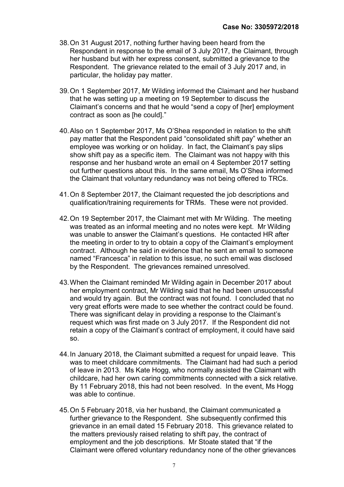- 38. On 31 August 2017, nothing further having been heard from the Respondent in response to the email of 3 July 2017, the Claimant, through her husband but with her express consent, submitted a grievance to the Respondent. The grievance related to the email of 3 July 2017 and, in particular, the holiday pay matter.
- 39. On 1 September 2017, Mr Wilding informed the Claimant and her husband that he was setting up a meeting on 19 September to discuss the Claimant's concerns and that he would "send a copy of [her] employment contract as soon as [he could]."
- 40. Also on 1 September 2017, Ms O'Shea responded in relation to the shift pay matter that the Respondent paid "consolidated shift pay" whether an employee was working or on holiday. In fact, the Claimant's pay slips show shift pay as a specific item. The Claimant was not happy with this response and her husband wrote an email on 4 September 2017 setting out further questions about this. In the same email, Ms O'Shea informed the Claimant that voluntary redundancy was not being offered to TRCs.
- 41. On 8 September 2017, the Claimant requested the job descriptions and qualification/training requirements for TRMs. These were not provided.
- 42. On 19 September 2017, the Claimant met with Mr Wilding. The meeting was treated as an informal meeting and no notes were kept. Mr Wilding was unable to answer the Claimant's questions. He contacted HR after the meeting in order to try to obtain a copy of the Claimant's employment contract. Although he said in evidence that he sent an email to someone named "Francesca" in relation to this issue, no such email was disclosed by the Respondent. The grievances remained unresolved.
- 43. When the Claimant reminded Mr Wilding again in December 2017 about her employment contract, Mr Wilding said that he had been unsuccessful and would try again. But the contract was not found. I concluded that no very great efforts were made to see whether the contract could be found. There was significant delay in providing a response to the Claimant's request which was first made on 3 July 2017. If the Respondent did not retain a copy of the Claimant's contract of employment, it could have said so.
- 44. In January 2018, the Claimant submitted a request for unpaid leave. This was to meet childcare commitments. The Claimant had had such a period of leave in 2013. Ms Kate Hogg, who normally assisted the Claimant with childcare, had her own caring commitments connected with a sick relative. By 11 February 2018, this had not been resolved. In the event, Ms Hogg was able to continue.
- 45. On 5 February 2018, via her husband, the Claimant communicated a further grievance to the Respondent. She subsequently confirmed this grievance in an email dated 15 February 2018. This grievance related to the matters previously raised relating to shift pay, the contract of employment and the job descriptions. Mr Stoate stated that "if the Claimant were offered voluntary redundancy none of the other grievances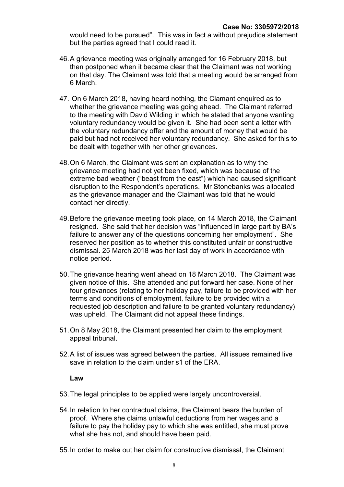would need to be pursued". This was in fact a without prejudice statement but the parties agreed that I could read it.

- 46. A grievance meeting was originally arranged for 16 February 2018, but then postponed when it became clear that the Claimant was not working on that day. The Claimant was told that a meeting would be arranged from 6 March.
- 47. On 6 March 2018, having heard nothing, the Clamant enquired as to whether the grievance meeting was going ahead. The Claimant referred to the meeting with David Wilding in which he stated that anyone wanting voluntary redundancy would be given it. She had been sent a letter with the voluntary redundancy offer and the amount of money that would be paid but had not received her voluntary redundancy. She asked for this to be dealt with together with her other grievances.
- 48. On 6 March, the Claimant was sent an explanation as to why the grievance meeting had not yet been fixed, which was because of the extreme bad weather ("beast from the east") which had caused significant disruption to the Respondent's operations. Mr Stonebanks was allocated as the grievance manager and the Claimant was told that he would contact her directly.
- 49. Before the grievance meeting took place, on 14 March 2018, the Claimant resigned. She said that her decision was "influenced in large part by BA's failure to answer any of the questions concerning her employment". She reserved her position as to whether this constituted unfair or constructive dismissal. 25 March 2018 was her last day of work in accordance with notice period.
- 50. The grievance hearing went ahead on 18 March 2018. The Claimant was given notice of this. She attended and put forward her case. None of her four grievances (relating to her holiday pay, failure to be provided with her terms and conditions of employment, failure to be provided with a requested job description and failure to be granted voluntary redundancy) was upheld. The Claimant did not appeal these findings.
- 51. On 8 May 2018, the Claimant presented her claim to the employment appeal tribunal.
- 52. A list of issues was agreed between the parties. All issues remained live save in relation to the claim under s1 of the FRA

#### Law

- 53. The legal principles to be applied were largely uncontroversial.
- 54. In relation to her contractual claims, the Claimant bears the burden of proof. Where she claims unlawful deductions from her wages and a failure to pay the holiday pay to which she was entitled, she must prove what she has not, and should have been paid.
- 55. In order to make out her claim for constructive dismissal, the Claimant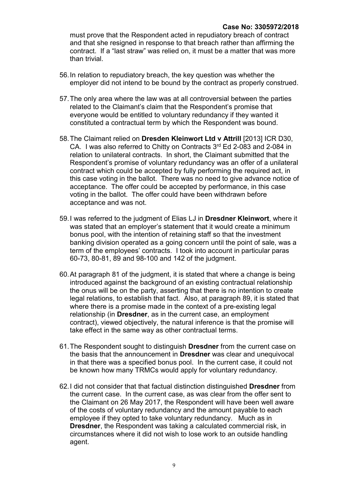must prove that the Respondent acted in repudiatory breach of contract and that she resigned in response to that breach rather than affirming the contract. If a "last straw" was relied on, it must be a matter that was more than trivial.

- 56. In relation to repudiatory breach, the key question was whether the employer did not intend to be bound by the contract as properly construed.
- 57. The only area where the law was at all controversial between the parties related to the Claimant's claim that the Respondent's promise that everyone would be entitled to voluntary redundancy if they wanted it constituted a contractual term by which the Respondent was bound.
- 58. The Claimant relied on Dresden Kleinwort Ltd v Attrill [2013] ICR D30, CA. I was also referred to Chitty on Contracts 3<sup>rd</sup> Ed 2-083 and 2-084 in relation to unilateral contracts. In short, the Claimant submitted that the Respondent's promise of voluntary redundancy was an offer of a unilateral contract which could be accepted by fully performing the required act, in this case voting in the ballot. There was no need to give advance notice of acceptance. The offer could be accepted by performance, in this case voting in the ballot. The offer could have been withdrawn before acceptance and was not.
- 59. I was referred to the judgment of Elias LJ in Dresdner Kleinwort, where it was stated that an employer's statement that it would create a minimum bonus pool, with the intention of retaining staff so that the investment banking division operated as a going concern until the point of sale, was a term of the employees' contracts. I took into account in particular paras 60-73, 80-81, 89 and 98-100 and 142 of the judgment.
- 60. At paragraph 81 of the judgment, it is stated that where a change is being introduced against the background of an existing contractual relationship the onus will be on the party, asserting that there is no intention to create legal relations, to establish that fact. Also, at paragraph 89, it is stated that where there is a promise made in the context of a pre-existing legal relationship (in Dresdner, as in the current case, an employment contract), viewed objectively, the natural inference is that the promise will take effect in the same way as other contractual terms.
- 61. The Respondent sought to distinguish Dresdner from the current case on the basis that the announcement in Dresdner was clear and unequivocal in that there was a specified bonus pool. In the current case, it could not be known how many TRMCs would apply for voluntary redundancy.
- 62. I did not consider that that factual distinction distinguished Dresdner from the current case. In the current case, as was clear from the offer sent to the Claimant on 26 May 2017, the Respondent will have been well aware of the costs of voluntary redundancy and the amount payable to each employee if they opted to take voluntary redundancy. Much as in Dresdner, the Respondent was taking a calculated commercial risk, in circumstances where it did not wish to lose work to an outside handling agent.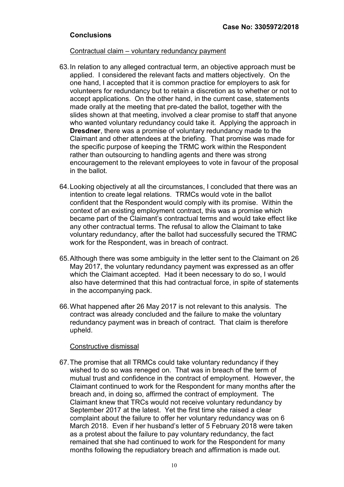### **Conclusions**

#### Contractual claim – voluntary redundancy payment

- 63. In relation to any alleged contractual term, an objective approach must be applied. I considered the relevant facts and matters objectively. On the one hand, I accepted that it is common practice for employers to ask for volunteers for redundancy but to retain a discretion as to whether or not to accept applications. On the other hand, in the current case, statements made orally at the meeting that pre-dated the ballot, together with the slides shown at that meeting, involved a clear promise to staff that anyone who wanted voluntary redundancy could take it. Applying the approach in Dresdner, there was a promise of voluntary redundancy made to the Claimant and other attendees at the briefing. That promise was made for the specific purpose of keeping the TRMC work within the Respondent rather than outsourcing to handling agents and there was strong encouragement to the relevant employees to vote in favour of the proposal in the ballot.
- 64. Looking objectively at all the circumstances, I concluded that there was an intention to create legal relations. TRMCs would vote in the ballot confident that the Respondent would comply with its promise. Within the context of an existing employment contract, this was a promise which became part of the Claimant's contractual terms and would take effect like any other contractual terms. The refusal to allow the Claimant to take voluntary redundancy, after the ballot had successfully secured the TRMC work for the Respondent, was in breach of contract.
- 65. Although there was some ambiguity in the letter sent to the Claimant on 26 May 2017, the voluntary redundancy payment was expressed as an offer which the Claimant accepted. Had it been necessary to do so, I would also have determined that this had contractual force, in spite of statements in the accompanying pack.
- 66. What happened after 26 May 2017 is not relevant to this analysis. The contract was already concluded and the failure to make the voluntary redundancy payment was in breach of contract. That claim is therefore upheld.

#### Constructive dismissal

67. The promise that all TRMCs could take voluntary redundancy if they wished to do so was reneged on. That was in breach of the term of mutual trust and confidence in the contract of employment. However, the Claimant continued to work for the Respondent for many months after the breach and, in doing so, affirmed the contract of employment. The Claimant knew that TRCs would not receive voluntary redundancy by September 2017 at the latest. Yet the first time she raised a clear complaint about the failure to offer her voluntary redundancy was on 6 March 2018. Even if her husband's letter of 5 February 2018 were taken as a protest about the failure to pay voluntary redundancy, the fact remained that she had continued to work for the Respondent for many months following the repudiatory breach and affirmation is made out.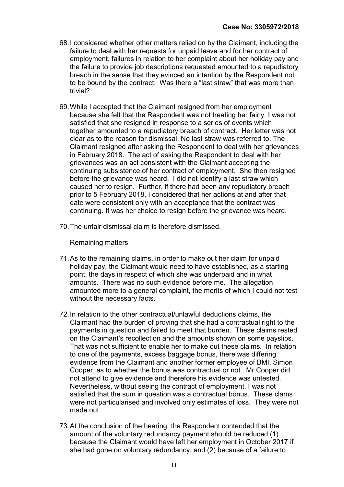- 68. I considered whether other matters relied on by the Claimant, including the failure to deal with her requests for unpaid leave and for her contract of employment, failures in relation to her complaint about her holiday pay and the failure to provide job descriptions requested amounted to a repudiatory breach in the sense that they evinced an intention by the Respondent not to be bound by the contract. Was there a "last straw" that was more than trivial?
- 69. While I accepted that the Claimant resigned from her employment because she felt that the Respondent was not treating her fairly, I was not satisfied that she resigned in response to a series of events which together amounted to a repudiatory breach of contract. Her letter was not clear as to the reason for dismissal. No last straw was referred to. The Claimant resigned after asking the Respondent to deal with her grievances in February 2018. The act of asking the Respondent to deal with her grievances was an act consistent with the Claimant accepting the continuing subsistence of her contract of employment. She then resigned before the grievance was heard. I did not identify a last straw which caused her to resign. Further, if there had been any repudiatory breach prior to 5 February 2018, I considered that her actions at and after that date were consistent only with an acceptance that the contract was continuing. It was her choice to resign before the grievance was heard.
- 70. The unfair dismissal claim is therefore dismissed.

#### Remaining matters

- 71. As to the remaining claims, in order to make out her claim for unpaid holiday pay, the Claimant would need to have established, as a starting point, the days in respect of which she was underpaid and in what amounts. There was no such evidence before me. The allegation amounted more to a general complaint, the merits of which I could not test without the necessary facts.
- 72. In relation to the other contractual/unlawful deductions claims, the Claimant had the burden of proving that she had a contractual right to the payments in question and failed to meet that burden. These claims rested on the Claimant's recollection and the amounts shown on some payslips. That was not sufficient to enable her to make out these claims. In relation to one of the payments, excess baggage bonus, there was differing evidence from the Claimant and another former employee of BMI, Simon Cooper, as to whether the bonus was contractual or not. Mr Cooper did not attend to give evidence and therefore his evidence was untested. Nevertheless, without seeing the contract of employment, I was not satisfied that the sum in question was a contractual bonus. These clams were not particularised and involved only estimates of loss. They were not made out.
- 73. At the conclusion of the hearing, the Respondent contended that the amount of the voluntary redundancy payment should be reduced (1) because the Claimant would have left her employment in October 2017 if she had gone on voluntary redundancy; and (2) because of a failure to